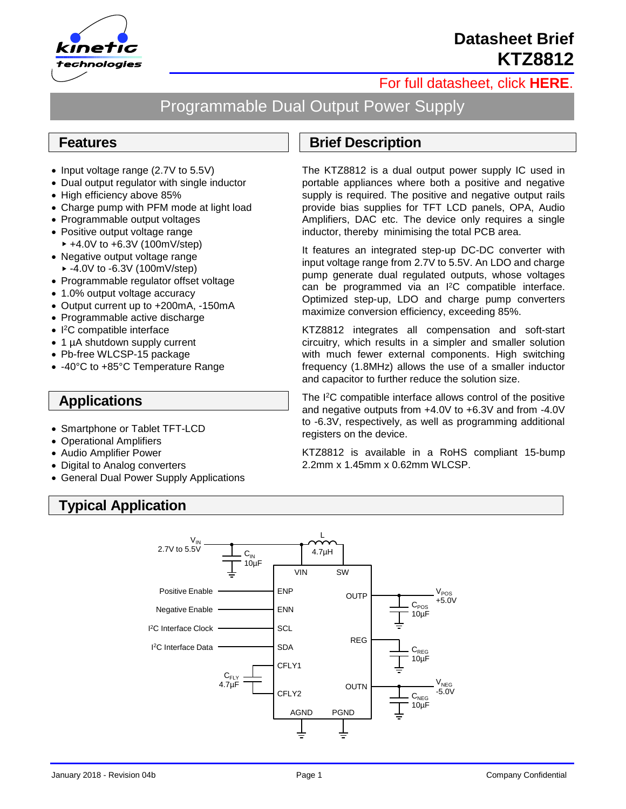

# **Datasheet Brief KTZ8812**

### [For full datasheet, click](http://www.kinet-ic.com/site/datasheet#level-1) **HERE**.

# Programmable Dual Output Power Supply

#### **Features**

- Input voltage range (2.7V to 5.5V)
- Dual output regulator with single inductor
- High efficiency above 85%
- Charge pump with PFM mode at light load
- Programmable output voltages
- Positive output voltage range  $+4.0V$  to  $+6.3V$  (100mV/step)
- Negative output voltage range  $-4.0V$  to  $-6.3V$  (100mV/step)
- Programmable regulator offset voltage
- 1.0% output voltage accuracy
- Output current up to +200mA, -150mA
- Programmable active discharge
- I <sup>2</sup>C compatible interface
- 1 µA shutdown supply current
- Pb-free WLCSP-15 package
- -40°C to +85°C Temperature Range

#### **Applications**

- Smartphone or Tablet TFT-LCD
- Operational Amplifiers
- Audio Amplifier Power
- Digital to Analog converters
- General Dual Power Supply Applications

# **Typical Application**

## **Brief Description**

The KTZ8812 is a dual output power supply IC used in portable appliances where both a positive and negative supply is required. The positive and negative output rails provide bias supplies for TFT LCD panels, OPA, Audio Amplifiers, DAC etc. The device only requires a single inductor, thereby minimising the total PCB area.

It features an integrated step-up DC-DC converter with input voltage range from 2.7V to 5.5V. An LDO and charge pump generate dual regulated outputs, whose voltages can be programmed via an I <sup>2</sup>C compatible interface. Optimized step-up, LDO and charge pump converters maximize conversion efficiency, exceeding 85%.

KTZ8812 integrates all compensation and soft-start circuitry, which results in a simpler and smaller solution with much fewer external components. High switching frequency (1.8MHz) allows the use of a smaller inductor and capacitor to further reduce the solution size.

The I <sup>2</sup>C compatible interface allows control of the positive and negative outputs from +4.0V to +6.3V and from -4.0V to -6.3V, respectively, as well as programming additional registers on the device.

KTZ8812 is available in a RoHS compliant 15-bump 2.2mm x 1.45mm x 0.62mm WLCSP.